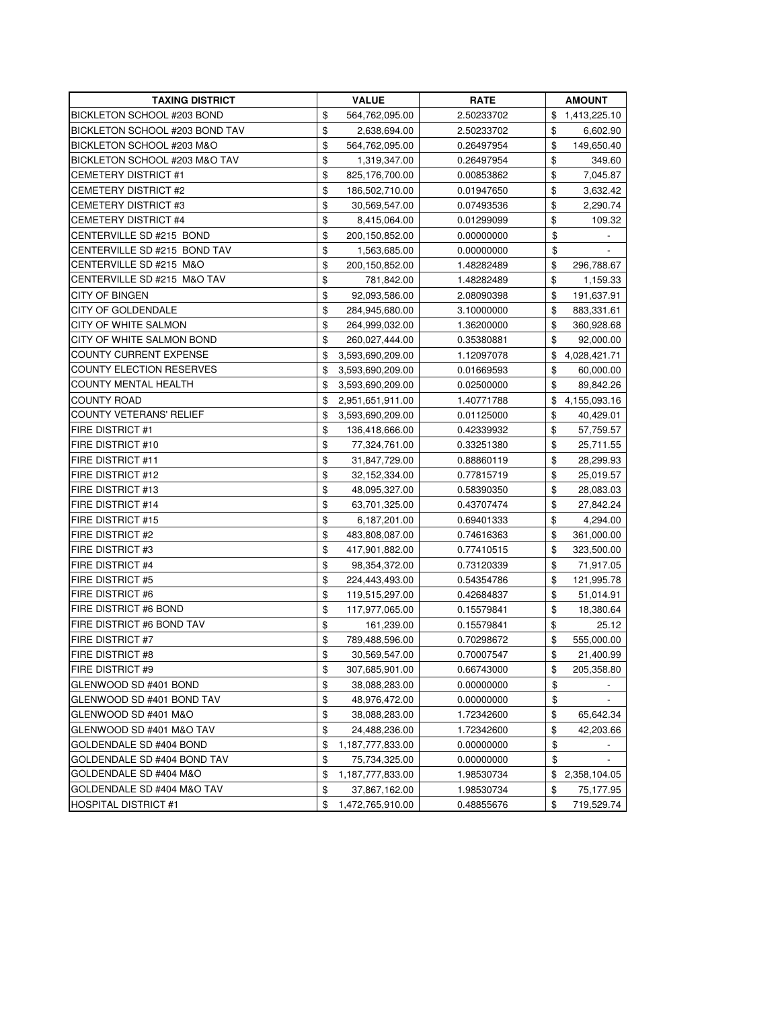| <b>TAXING DISTRICT</b>          | <b>VALUE</b>           | <b>RATE</b> | <b>AMOUNT</b>                  |
|---------------------------------|------------------------|-------------|--------------------------------|
| BICKLETON SCHOOL #203 BOND      | \$<br>564,762,095.00   | 2.50233702  | \$<br>1,413,225.10             |
| BICKLETON SCHOOL #203 BOND TAV  | \$<br>2,638,694.00     | 2.50233702  | \$<br>6,602.90                 |
| BICKLETON SCHOOL #203 M&O       | \$<br>564,762,095.00   | 0.26497954  | \$<br>149,650.40               |
| BICKLETON SCHOOL #203 M&O TAV   | \$<br>1,319,347.00     | 0.26497954  | \$<br>349.60                   |
| <b>CEMETERY DISTRICT #1</b>     | \$<br>825,176,700.00   | 0.00853862  | \$<br>7,045.87                 |
| <b>CEMETERY DISTRICT #2</b>     | \$<br>186,502,710.00   | 0.01947650  | \$<br>3,632.42                 |
| <b>CEMETERY DISTRICT #3</b>     | \$<br>30,569,547.00    | 0.07493536  | \$<br>2,290.74                 |
| <b>CEMETERY DISTRICT #4</b>     | \$<br>8,415,064.00     | 0.01299099  | \$<br>109.32                   |
| CENTERVILLE SD #215 BOND        | \$<br>200,150,852.00   | 0.00000000  | \$                             |
| CENTERVILLE SD #215 BOND TAV    | \$<br>1,563,685.00     | 0.00000000  | \$                             |
| CENTERVILLE SD #215 M&O         | \$<br>200,150,852.00   | 1.48282489  | \$<br>296,788.67               |
| CENTERVILLE SD #215 M&O TAV     | \$<br>781,842.00       | 1.48282489  | \$<br>1,159.33                 |
| <b>CITY OF BINGEN</b>           | \$<br>92,093,586.00    | 2.08090398  | \$<br>191,637.91               |
| <b>CITY OF GOLDENDALE</b>       | \$<br>284,945,680.00   | 3.10000000  | \$<br>883,331.61               |
| CITY OF WHITE SALMON            | \$<br>264,999,032.00   | 1.36200000  | \$<br>360,928.68               |
| CITY OF WHITE SALMON BOND       | \$<br>260,027,444.00   | 0.35380881  | \$<br>92,000.00                |
| COUNTY CURRENT EXPENSE          | \$<br>3,593,690,209.00 | 1.12097078  | \$<br>4,028,421.71             |
| <b>COUNTY ELECTION RESERVES</b> | \$<br>3,593,690,209.00 | 0.01669593  | \$<br>60,000.00                |
| <b>COUNTY MENTAL HEALTH</b>     | \$<br>3,593,690,209.00 | 0.02500000  | \$<br>89,842.26                |
| <b>COUNTY ROAD</b>              | \$<br>2,951,651,911.00 | 1.40771788  | \$<br>4,155,093.16             |
| <b>COUNTY VETERANS' RELIEF</b>  | \$<br>3,593,690,209.00 | 0.01125000  | \$<br>40,429.01                |
| <b>FIRE DISTRICT #1</b>         | \$<br>136,418,666.00   | 0.42339932  | \$<br>57,759.57                |
| FIRE DISTRICT #10               | \$<br>77,324,761.00    | 0.33251380  | \$<br>25,711.55                |
| <b>FIRE DISTRICT #11</b>        | \$<br>31,847,729.00    | 0.88860119  | \$<br>28,299.93                |
| <b>FIRE DISTRICT #12</b>        | \$<br>32,152,334.00    | 0.77815719  | \$<br>25,019.57                |
| <b>FIRE DISTRICT #13</b>        | \$<br>48,095,327.00    | 0.58390350  | \$<br>28,083.03                |
| <b>FIRE DISTRICT #14</b>        | \$<br>63,701,325.00    | 0.43707474  | \$<br>27,842.24                |
| <b>FIRE DISTRICT #15</b>        | \$<br>6,187,201.00     | 0.69401333  | \$<br>4,294.00                 |
| <b>FIRE DISTRICT #2</b>         | \$<br>483,808,087.00   | 0.74616363  | \$<br>361,000.00               |
| <b>FIRE DISTRICT #3</b>         | \$<br>417,901,882.00   | 0.77410515  | \$<br>323,500.00               |
| FIRE DISTRICT #4                | \$<br>98,354,372.00    | 0.73120339  | \$<br>71,917.05                |
| <b>FIRE DISTRICT #5</b>         | \$<br>224,443,493.00   | 0.54354786  | \$<br>121,995.78               |
| <b>FIRE DISTRICT #6</b>         | \$<br>119,515,297.00   | 0.42684837  | \$<br>51,014.91                |
| FIRE DISTRICT #6 BOND           | \$<br>117,977,065.00   | 0.15579841  | \$<br>18,380.64                |
| FIRE DISTRICT #6 BOND TAV       | \$<br>161,239.00       | 0.15579841  | \$<br>25.12                    |
| <b>FIRE DISTRICT #7</b>         | \$<br>789,488,596.00   | 0.70298672  | \$<br>555,000.00               |
| <b>FIRE DISTRICT #8</b>         | \$<br>30,569,547.00    | 0.70007547  | \$<br>21,400.99                |
| <b>FIRE DISTRICT #9</b>         | \$<br>307,685,901.00   | 0.66743000  | \$<br>205,358.80               |
| GLENWOOD SD #401 BOND           | \$<br>38,088,283.00    | 0.00000000  | \$                             |
| GLENWOOD SD #401 BOND TAV       | \$<br>48,976,472.00    | 0.00000000  | \$<br>$\overline{\phantom{a}}$ |
| GLENWOOD SD #401 M&O            | \$<br>38,088,283.00    | 1.72342600  | \$<br>65,642.34                |
| GLENWOOD SD #401 M&O TAV        | \$<br>24,488,236.00    | 1.72342600  | \$<br>42,203.66                |
| GOLDENDALE SD #404 BOND         | \$<br>1,187,777,833.00 | 0.00000000  | \$<br>$\overline{\phantom{a}}$ |
| GOLDENDALE SD #404 BOND TAV     | \$<br>75,734,325.00    | 0.00000000  | \$                             |
| GOLDENDALE SD #404 M&O          | \$<br>1,187,777,833.00 | 1.98530734  | \$<br>2,358,104.05             |
| GOLDENDALE SD #404 M&O TAV      | \$<br>37,867,162.00    | 1.98530734  | \$<br>75,177.95                |
| <b>HOSPITAL DISTRICT #1</b>     | \$<br>1,472,765,910.00 | 0.48855676  | \$<br>719,529.74               |